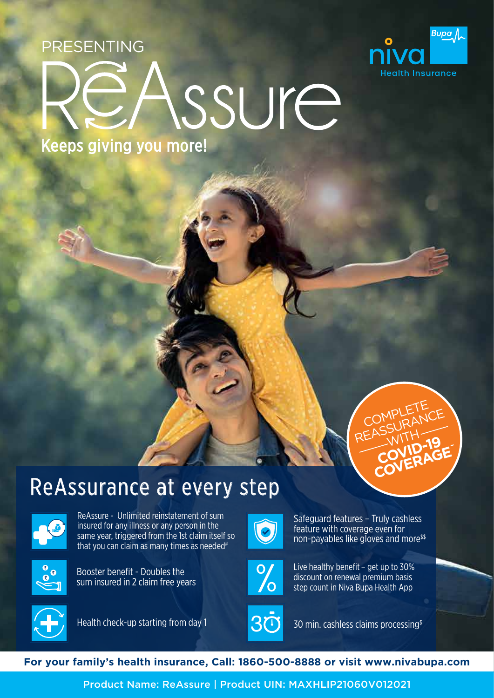PRESENTING



## ssure

Keeps giving you more!



## ReAssurance at every step



ReAssure - Unlimited reinstatement of sum insured for any illness or any person in the same year, triggered from the 1st claim itself so that you can claim as many times as needed<sup>#</sup>



Booster benefit - Doubles the sum insured in 2 claim free years



Safeguard features – Truly cashless feature with coverage even for non-payables like gloves and more<sup>\$\$</sup>



Live healthy benefit – get up to 30% discount on renewal premium basis step count in Niva Bupa Health App



Health check-up starting from day 1



30 min. cashless claims processing\$



Product Name: ReAssure | Product UIN: MAXHLIP21060V012021